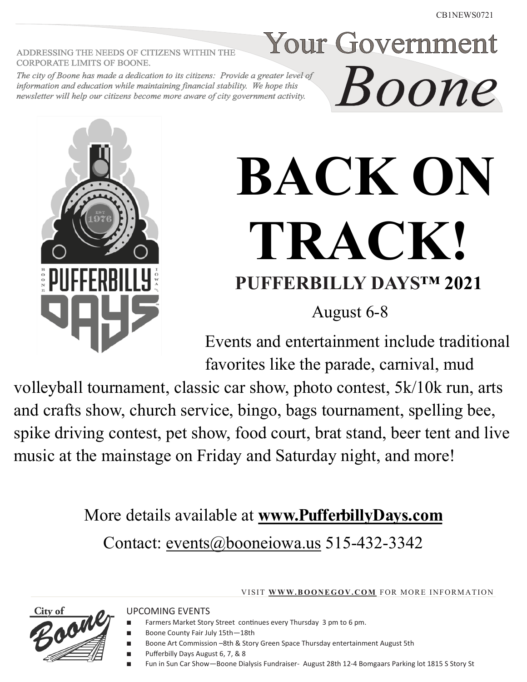ADDRESSING THE NEEDS OF CITIZENS WITHIN THE **CORPORATE LIMITS OF BOONE.** 

The city of Boone has made a dedication to its citizens: Provide a greater level of information and education while maintaining financial stability. We hope this newsletter will help our citizens become more aware of city government activity.



**Your Government** 

Boone

August 6-8

Events and entertainment include traditional favorites like the parade, carnival, mud

volleyball tournament, classic car show, photo contest, 5k/10k run, arts and crafts show, church service, bingo, bags tournament, spelling bee, spike driving contest, pet show, food court, brat stand, beer tent and live music at the mainstage on Friday and Saturday night, and more!

> More details available at **[www.PufferbillyDays.com](http://www.PufferbillyDays.com)** Contact: [events@booneiowa.us](mailto:events@booneiowa.us) 515-432-3342

> > VISIT **WWW.BOONEGOV.COM** FOR MORE INFORMATION

UPCOMING EVENTS



- Boone County Fair July 15th-18th
- Boone Art Commission –8th & Story Green Space Thursday entertainment August 5th
- Pufferbilly Days August 6, 7, & 8
	- Fun in Sun Car Show-Boone Dialysis Fundraiser- August 28th 12-4 Bomgaars Parking lot 1815 S Story St